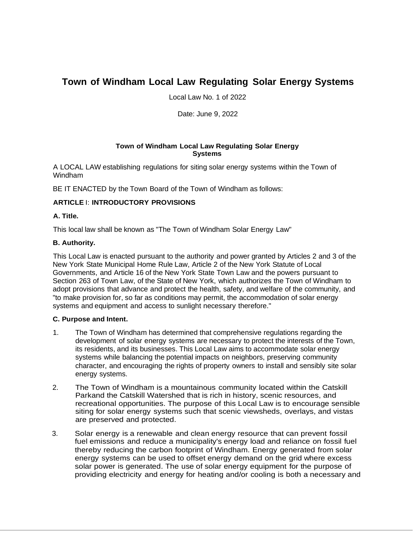# **Town of Windham Local Law Regulating Solar Energy Systems**

Local Law No. 1 of 2022

Date: June 9, 2022

### **Town of Windham Local Law Regulating Solar Energy Systems**

A LOCAL LAW establishing regulations for siting solar energy systems within the Town of Windham

BE IT ENACTED by the Town Board of the Town of Windham as follows:

## **ARTICLE** I: **INTRODUCTORY PROVISIONS**

### **A. Title.**

This local law shall be known as "The Town of Windham Solar Energy Law"

### **B. Authority.**

This Local Law is enacted pursuant to the authority and power granted by Articles 2 and 3 of the New York State Municipal Home Rule Law, Article 2 of the New York Statute of Local Governments, and Article 16 of the New York State Town Law and the powers pursuant to Section 263 of Town Law, of the State of New York, which authorizes the Town of Windham to adopt provisions that advance and protect the health, safety, and welfare of the community, and "to make provision for, so far as conditions may permit, the accommodation of solar energy systems and equipment and access to sunlight necessary therefore."

#### **C. Purpose and Intent.**

- 1. The Town of Windham has determined that comprehensive regulations regarding the development of solar energy systems are necessary to protect the interests of the Town, its residents, and its businesses. This Local Law aims to accommodate solar energy systems while balancing the potential impacts on neighbors, preserving community character, and encouraging the rights of property owners to install and sensibly site solar energy systems.
- 2. The Town of Windham is a mountainous community located within the Catskill Parkand the Catskill Watershed that is rich in history, scenic resources, and recreational opportunities. The purpose of this Local Law is to encourage sensible siting for solar energy systems such that scenic viewsheds, overlays, and vistas are preserved and protected.
- 3. Solar energy is a renewable and clean energy resource that can prevent fossil fuel emissions and reduce a municipality's energy load and reliance on fossil fuel thereby reducing the carbon footprint of Windham. Energy generated from solar energy systems can be used to offset energy demand on the grid where excess solar power is generated. The use of solar energy equipment for the purpose of providing electricity and energy for heating and/or cooling is both a necessary and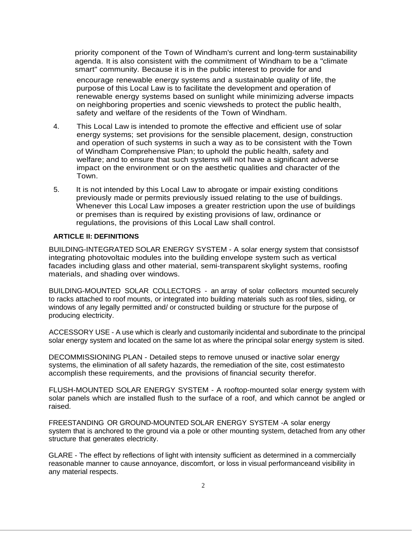priority component of the Town of Windham's current and long-term sustainability agenda. It is also consistent with the commitment of Windham to be a "climate smart" community. Because it is in the public interest to provide for and

encourage renewable energy systems and a sustainable quality of life, the purpose of this Local Law is to facilitate the development and operation of renewable energy systems based on sunlight while minimizing adverse impacts on neighboring properties and scenic viewsheds to protect the public health, safety and welfare of the residents of the Town of Windham.

- 4. This Local Law is intended to promote the effective and efficient use of solar energy systems; set provisions for the sensible placement, design, construction and operation of such systems in such a way as to be consistent with the Town of Windham Comprehensive Plan; to uphold the public health, safety and welfare; and to ensure that such systems will not have a significant adverse impact on the environment or on the aesthetic qualities and character of the Town.
- 5. It is not intended by this Local Law to abrogate or impair existing conditions previously made or permits previously issued relating to the use of buildings. Whenever this Local Law imposes a greater restriction upon the use of buildings or premises than is required by existing provisions of law, ordinance or regulations, the provisions of this Local Law shall control.

### **ARTICLE II: DEFINITIONS**

BUILDING-INTEGRATED SOLAR ENERGY SYSTEM - A solar energy system that consistsof integrating photovoltaic modules into the building envelope system such as vertical facades including glass and other material, semi-transparent skylight systems, roofing materials, and shading over windows.

BUILDING-MOUNTED SOLAR COLLECTORS - an array of solar collectors mounted securely to racks attached to roof mounts, or integrated into building materials such as roof tiles, siding, or windows of any legally permitted and/ or constructed building or structure for the purpose of producing electricity.

ACCESSORY USE - A use which is clearly and customarily incidental and subordinate to the principal solar energy system and located on the same lot as where the principal solar energy system is sited.

DECOMMISSIONING PLAN - Detailed steps to remove unused or inactive solar energy systems, the elimination of all safety hazards, the remediation of the site, cost estimatesto accomplish these requirements, and the provisions of financial security therefor.

FLUSH-MOUNTED SOLAR ENERGY SYSTEM - A rooftop-mounted solar energy system with solar panels which are installed flush to the surface of a roof, and which cannot be angled or raised.

FREESTANDING OR GROUND-MOUNTED SOLAR ENERGY SYSTEM -A solar energy system that is anchored to the ground via a pole or other mounting system, detached from any other structure that generates electricity.

GLARE - The effect by reflections of light with intensity sufficient as determined in a commercially reasonable manner to cause annoyance, discomfort, or loss in visual performanceand visibility in any material respects.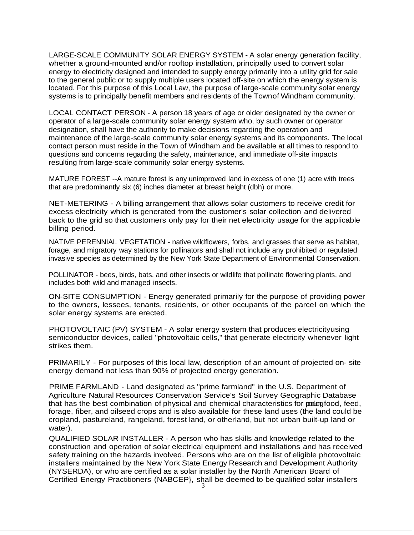LARGE-SCALE COMMUNITY SOLAR ENERGY SYSTEM - A solar energy generation facility, whether a ground-mounted and/or rooftop installation, principally used to convert solar energy to electricity designed and intended to supply energy primarily into a utility grid for sale to the general public or to supply multiple users located off-site on which the energy system is located. For this purpose of this Local Law, the purpose of large-scale community solar energy systems is to principally benefit members and residents of the Townof Windham community.

LOCAL CONTACT PERSON - A person 18 years of age or older designated by the owner or operator of a large-scale community solar energy system who, by such owner or operator designation, shall have the authority to make decisions regarding the operation and maintenance of the large-scale community solar energy systems and its components. The local contact person must reside in the Town of Windham and be available at all times to respond to questions and concerns regarding the safety, maintenance, and immediate off-site impacts resulting from large-scale community solar energy systems.

MATURE FOREST --A mature forest is any unimproved land in excess of one (1) acre with trees that are predominantly six (6) inches diameter at breast height (dbh) or more.

NET-METERING - A billing arrangement that allows solar customers to receive credit for excess electricity which is generated from the customer's solar collection and delivered back to the grid so that customers only pay for their net electricity usage for the applicable billing period.

NATIVE PERENNIAL VEGETATION - native wildflowers, forbs, and grasses that serve as habitat, forage, and migratory way stations for pollinators and shall not include any prohibited or regulated invasive species as determined by the New York State Department of Environmental Conservation.

POLLINATOR - bees, birds, bats, and other insects or wildlife that pollinate flowering plants, and includes both wild and managed insects.

ON-SITE CONSUMPTION - Energy generated primarily for the purpose of providing power to the owners, lessees, tenants, residents, or other occupants of the parcel on which the solar energy systems are erected,

PHOTOVOLTAIC (PV) SYSTEM - A solar energy system that produces electricityusing semiconductor devices, called "photovoltaic cells," that generate electricity whenever light strikes them.

PRIMARILY - For purposes of this local law, description of an amount of projected on- site energy demand not less than 90% of projected energy generation.

PRIME FARMLAND - Land designated as "prime farmland" in the U.S. Department of Agriculture Natural Resources Conservation Service's Soil Survey Geographic Database that has the best combination of physical and chemical characteristics for poloroptional, feed, forage, fiber, and oilseed crops and is also available for these land uses (the land could be cropland, pastureland, rangeland, forest land, or otherland, but not urban built-up land or water).

QUALIFIED SOLAR INSTALLER - A person who has skills and knowledge related to the construction and operation of solar electrical equipment and installations and has received safety training on the hazards involved. Persons who are on the list of eligible photovoltaic installers maintained by the New York State Energy Research and Development Authority (NYSERDA), or who are certified as a solar installer by the North American Board of Certified Energy Practitioners (NABCEP}, shall be deemed to be qualified solar installers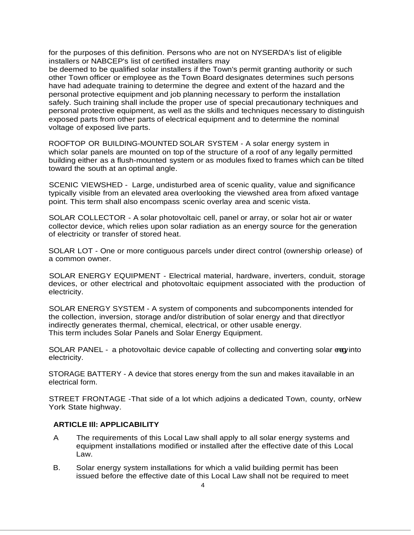for the purposes of this definition. Persons who are not on NYSERDA's list of eligible installers or NABCEP's list of certified installers may

be deemed to be qualified solar installers if the Town's permit granting authority or such other Town officer or employee as the Town Board designates determines such persons have had adequate training to determine the degree and extent of the hazard and the personal protective equipment and job planning necessary to perform the installation safely. Such training shall include the proper use of special precautionary techniques and personal protective equipment, as well as the skills and techniques necessary to distinguish exposed parts from other parts of electrical equipment and to determine the nominal voltage of exposed live parts.

ROOFTOP OR BUILDING-MOUNTED SOLAR SYSTEM - A solar energy system in which solar panels are mounted on top of the structure of a roof of any legally permitted building either as a flush-mounted system or as modules fixed to frames which can be tilted toward the south at an optimal angle.

SCENIC VIEWSHED - Large, undisturbed area of scenic quality, value and significance typically visible from an elevated area overlooking the viewshed area from afixed vantage point. This term shall also encompass scenic overlay area and scenic vista.

SOLAR COLLECTOR - A solar photovoltaic cell, panel or array, or solar hot air or water collector device, which relies upon solar radiation as an energy source for the generation of electricity or transfer of stored heat.

SOLAR LOT - One or more contiguous parcels under direct control (ownership orlease) of a common owner.

SOLAR ENERGY EQUIPMENT - Electrical material, hardware, inverters, conduit, storage devices, or other electrical and photovoltaic equipment associated with the production of electricity.

SOLAR ENERGY SYSTEM - A system of components and subcomponents intended for the collection, inversion, storage and/or distribution of solar energy and that directlyor indirectly generates thermal, chemical, electrical, or other usable energy. This term includes Solar Panels and Solar Energy Equipment.

SOLAR PANEL - a photovoltaic device capable of collecting and converting solar energyinto electricity.

STORAGE BATTERY - A device that stores energy from the sun and makes itavailable in an electrical form.

STREET FRONTAGE -That side of a lot which adjoins a dedicated Town, county, orNew York State highway.

#### **ARTICLE Ill: APPLICABILITY**

- A The requirements of this Local Law shall apply to all solar energy systems and equipment installations modified or installed after the effective date of this Local Law.
- B. Solar energy system installations for which a valid building permit has been issued before the effective date of this Local Law shall not be required to meet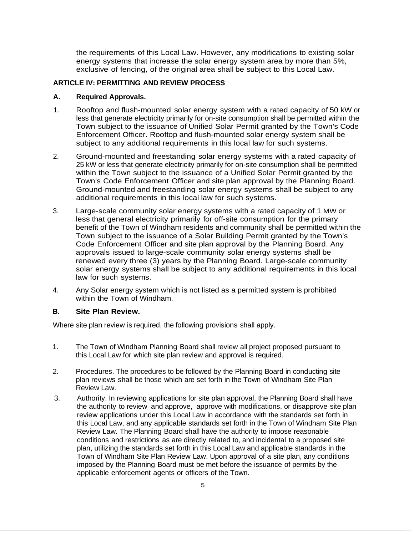the requirements of this Local Law. However, any modifications to existing solar energy systems that increase the solar energy system area by more than 5%, exclusive of fencing, of the original area shall be subject to this Local Law.

### **ARTICLE IV: PERMITTING AND REVIEW PROCESS**

### **A. Required Approvals.**

- 1. Rooftop and flush-mounted solar energy system with a rated capacity of 50 kW or less that generate electricity primarily for on-site consumption shall be permitted within the Town subject to the issuance of Unified Solar Permit granted by the Town's Code Enforcement Officer. Rooftop and flush-mounted solar energy system shall be subject to any additional requirements in this local law for such systems.
- 2. Ground-mounted and freestanding solar energy systems with a rated capacity of 25 kW or less that generate electricity primarily for on-site consumption shall be permitted within the Town subject to the issuance of a Unified Solar Permit granted by the Town's Code Enforcement Officer and site plan approval by the Planning Board. Ground-mounted and freestanding solar energy systems shall be subject to any additional requirements in this local law for such systems.
- 3. Large-scale community solar energy systems with a rated capacity of 1 MW or less that general electricity primarily for off-site consumption for the primary benefit of the Town of Windham residents and community shall be permitted within the Town subject to the issuance of a Solar Building Permit granted by the Town's Code Enforcement Officer and site plan approval by the Planning Board. Any approvals issued to large-scale community solar energy systems shall be renewed every three (3) years by the Planning Board. Large-scale community solar energy systems shall be subject to any additional requirements in this local law for such systems.
- 4. Any Solar energy system which is not listed as a permitted system is prohibited within the Town of Windham.

## **B. Site Plan Review.**

Where site plan review is required, the following provisions shall apply.

- 1. The Town of Windham Planning Board shall review all project proposed pursuant to this Local Law for which site plan review and approval is required.
- 2. Procedures. The procedures to be followed by the Planning Board in conducting site plan reviews shall be those which are set forth in the Town of Windham Site Plan Review Law.
- 3. Authority. In reviewing applications for site plan approval, the Planning Board shall have the authority to review and approve, approve with modifications, or disapprove site plan review applications under this Local Law in accordance with the standards set forth in this Local Law, and any applicable standards set forth in the Town of Windham Site Plan Review Law. The Planning Board shall have the authority to impose reasonable conditions and restrictions as are directly related to, and incidental to a proposed site plan, utilizing the standards set forth in this Local Law and applicable standards in the Town of Windham Site Plan Review Law. Upon approval of a site plan, any conditions imposed by the Planning Board must be met before the issuance of permits by the applicable enforcement agents or officers of the Town.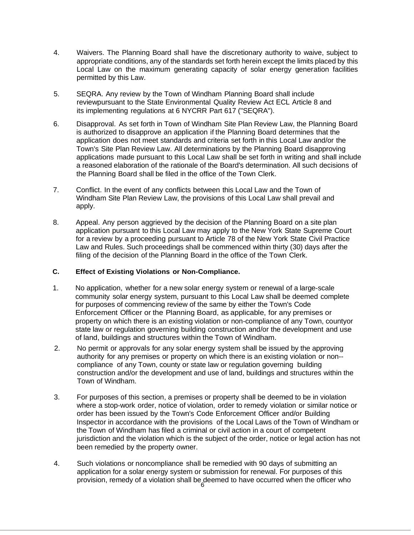- 4. Waivers. The Planning Board shall have the discretionary authority to waive, subject to appropriate conditions, any of the standards set forth herein except the limits placed by this Local Law on the maximum generating capacity of solar energy generation facilities permitted by this Law.
- 5. SEQRA. Any review by the Town of Windham Planning Board shall include reviewpursuant to the State Environmental Quality Review Act ECL Article 8 and its implementing regulations at 6 NYCRR Part 617 ("SEQRA").
- 6. Disapproval. As set forth in Town of Windham Site Plan Review Law, the Planning Board is authorized to disapprove an application if the Planning Board determines that the application does not meet standards and criteria set forth in this Local Law and/or the Town's Site Plan Review Law. All determinations by the Planning Board disapproving applications made pursuant to this Local Law shall be set forth in writing and shall include a reasoned elaboration of the rationale of the Board's determination. All such decisions of the Planning Board shall be filed in the office of the Town Clerk.
- 7. Conflict. In the event of any conflicts between this Local Law and the Town of Windham Site Plan Review Law, the provisions of this Local Law shall prevail and apply.
- 8. Appeal. Any person aggrieved by the decision of the Planning Board on a site plan application pursuant to this Local Law may apply to the New York State Supreme Court for a review by a proceeding pursuant to Article 78 of the New York State Civil Practice Law and Rules. Such proceedings shall be commenced within thirty (30) days after the filing of the decision of the Planning Board in the office of the Town Clerk.

## **C. Effect of Existing Violations or Non-Compliance.**

- 1. No application, whether for a new solar energy system or renewal of a large-scale community solar energy system, pursuant to this Local Law shall be deemed complete for purposes of commencing review of the same by either the Town's Code Enforcement Officer or the Planning Board, as applicable, for any premises or property on which there is an existing violation or non-compliance of any Town, countyor state law or regulation governing building construction and/or the development and use of land, buildings and structures within the Town of Windham.
- 2. No permit or approvals for any solar energy system shall be issued by the approving authority for any premises or property on which there is an existing violation or non- compliance of any Town, county or state law or regulation governing building construction and/or the development and use of land, buildings and structures within the Town of Windham.
- 3. For purposes of this section, a premises or property shall be deemed to be in violation where a stop-work order, notice of violation, order to remedy violation or similar notice or order has been issued by the Town's Code Enforcement Officer and/or Building Inspector in accordance with the provisions of the Local Laws of the Town of Windham or the Town of Windham has filed a criminal or civil action in a court of competent jurisdiction and the violation which is the subject of the order, notice or legal action has not been remedied by the property owner.
- provision, remedy of a violation shall be deemed to have occurred when the officer who 4. Such violations or noncompliance shall be remedied with 90 days of submitting an application for a solar energy system or submission for renewal. For purposes of this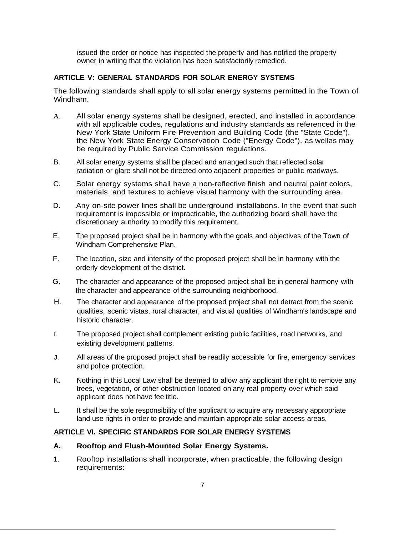issued the order or notice has inspected the property and has notified the property owner in writing that the violation has been satisfactorily remedied.

# **ARTICLE V: GENERAL STANDARDS FOR SOLAR ENERGY SYSTEMS**

The following standards shall apply to all solar energy systems permitted in the Town of Windham.

- A. All solar energy systems shall be designed, erected, and installed in accordance with all applicable codes, regulations and industry standards as referenced in the New York State Uniform Fire Prevention and Building Code (the "State Code"), the New York State Energy Conservation Code ("Energy Code"), as wellas may be required by Public Service Commission regulations.
- B. All solar energy systems shall be placed and arranged such that reflected solar radiation or glare shall not be directed onto adjacent properties or public roadways.
- C. Solar energy systems shall have a non-reflective finish and neutral paint colors, materials, and textures to achieve visual harmony with the surrounding area.
- D. Any on-site power lines shall be underground installations. In the event that such requirement is impossible or impracticable, the authorizing board shall have the discretionary authority to modify this requirement.
- E. The proposed project shall be in harmony with the goals and objectives of the Town of Windham Comprehensive Plan.
- F. The location, size and intensity of the proposed project shall be in harmony with the orderly development of the district.
- G. The character and appearance of the proposed project shall be in general harmony with the character and appearance of the surrounding neighborhood.
- H. The character and appearance of the proposed project shall not detract from the scenic qualities, scenic vistas, rural character, and visual qualities of Windham's landscape and historic character.
- I. The proposed project shall complement existing public facilities, road networks, and existing development patterns.
- J. All areas of the proposed project shall be readily accessible for fire, emergency services and police protection.
- K. Nothing in this Local Law shall be deemed to allow any applicant the right to remove any trees, vegetation, or other obstruction located on any real property over which said applicant does not have fee title.
- L. It shall be the sole responsibility of the applicant to acquire any necessary appropriate land use rights in order to provide and maintain appropriate solar access areas.

# **ARTICLE VI. SPECIFIC STANDARDS FOR SOLAR ENERGY SYSTEMS**

## **A. Rooftop and Flush-Mounted Solar Energy Systems.**

1. Rooftop installations shall incorporate, when practicable, the following design requirements: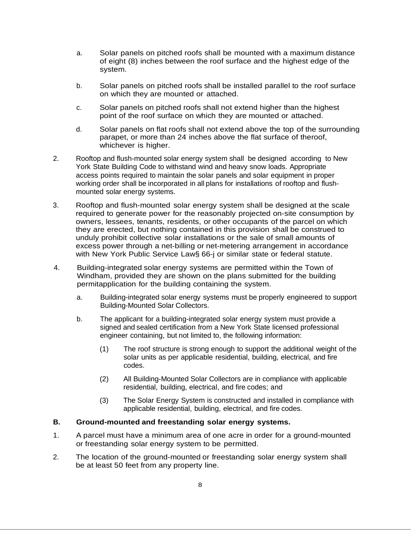- a. Solar panels on pitched roofs shall be mounted with a maximum distance of eight (8) inches between the roof surface and the highest edge of the system.
- b. Solar panels on pitched roofs shall be installed parallel to the roof surface on which they are mounted or attached.
- c. Solar panels on pitched roofs shall not extend higher than the highest point of the roof surface on which they are mounted or attached.
- d. Solar panels on flat roofs shall not extend above the top of the surrounding parapet, or more than 24 inches above the flat surface of theroof, whichever is higher.
- 2. Rooftop and flush-mounted solar energy system shall be designed according to New York State Building Code to withstand wind and heavy snow loads. Appropriate access points required to maintain the solar panels and solar equipment in proper working order shall be incorporated in all plans for installations of rooftop and flushmounted solar energy systems.
- 3. Rooftop and flush-mounted solar energy system shall be designed at the scale required to generate power for the reasonably projected on-site consumption by owners, lessees, tenants, residents, or other occupants of the parcel on which they are erected, but nothing contained in this provision shall be construed to unduly prohibit collective solar installations or the sale of small amounts of excess power through a net-billing or net-metering arrangement in accordance with New York Public Service Law§ 66-j or similar state or federal statute.
- 4. Building-integrated solar energy systems are permitted within the Town of Windham, provided they are shown on the plans submitted for the building permitapplication for the building containing the system.
	- a. Building-integrated solar energy systems must be properly engineered to support Building-Mounted Solar Collectors.
	- b. The applicant for a building-integrated solar energy system must provide a signed and sealed certification from a New York State licensed professional engineer containing, but not limited to, the following information:
		- (1) The roof structure is strong enough to support the additional weight of the solar units as per applicable residential, building, electrical, and fire codes.
		- (2) All Building-Mounted Solar Collectors are in compliance with applicable residential, building, electrical, and fire codes; and
		- (3) The Solar Energy System is constructed and installed in compliance with applicable residential, building, electrical, and fire codes.

## **B. Ground-mounted and freestanding solar energy systems.**

- 1. A parcel must have a minimum area of one acre in order for a ground-mounted or freestanding solar energy system to be permitted.
- 2. The location of the ground-mounted or freestanding solar energy system shall be at least 50 feet from any property line.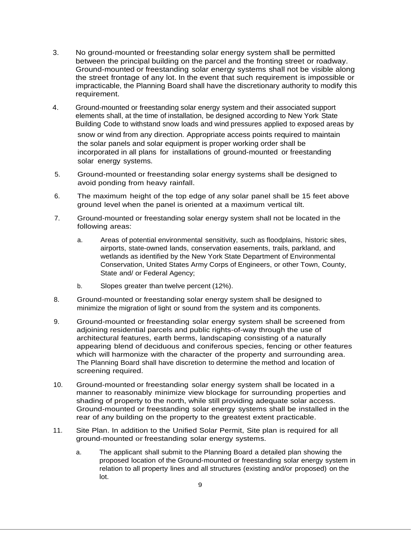- 3. No ground-mounted or freestanding solar energy system shall be permitted between the principal building on the parcel and the fronting street or roadway. Ground-mounted or freestanding solar energy systems shall not be visible along the street frontage of any lot. In the event that such requirement is impossible or impracticable, the Planning Board shall have the discretionary authority to modify this requirement.
- 4. Ground-mounted or freestanding solar energy system and their associated support elements shall, at the time of installation, be designed according to New York State Building Code to withstand snow loads and wind pressures applied to exposed areas by

snow or wind from any direction. Appropriate access points required to maintain the solar panels and solar equipment is proper working order shall be incorporated in all plans for installations of ground-mounted or freestanding solar energy systems.

- 5. Ground-mounted or freestanding solar energy systems shall be designed to avoid ponding from heavy rainfall.
- 6. The maximum height of the top edge of any solar panel shall be 15 feet above ground level when the panel is oriented at a maximum vertical tilt.
- 7. Ground-mounted or freestanding solar energy system shall not be located in the following areas:
	- a. Areas of potential environmental sensitivity, such as floodplains, historic sites, airports, state-owned lands, conservation easements, trails, parkland, and wetlands as identified by the New York State Department of Environmental Conservation, United States Army Corps of Engineers, or other Town, County, State and/ or Federal Agency;
	- b. Slopes greater than twelve percent (12%).
- 8. Ground-mounted or freestanding solar energy system shall be designed to minimize the migration of light or sound from the system and its components.
- 9. Ground-mounted or freestanding solar energy system shall be screened from adjoining residential parcels and public rights-of-way through the use of architectural features, earth berms, landscaping consisting of a naturally appearing blend of deciduous and coniferous species, fencing or other features which will harmonize with the character of the property and surrounding area. The Planning Board shall have discretion to determine the method and location of screening required.
- 10. Ground-mounted or freestanding solar energy system shall be located in a manner to reasonably minimize view blockage for surrounding properties and shading of property to the north, while still providing adequate solar access. Ground-mounted or freestanding solar energy systems shall be installed in the rear of any building on the property to the greatest extent practicable.
- 11. Site Plan. In addition to the Unified Solar Permit, Site plan is required for all ground-mounted or freestanding solar energy systems.
	- a. The applicant shall submit to the Planning Board a detailed plan showing the proposed location of the Ground-mounted or freestanding solar energy system in relation to all property lines and all structures (existing and/or proposed) on the lot.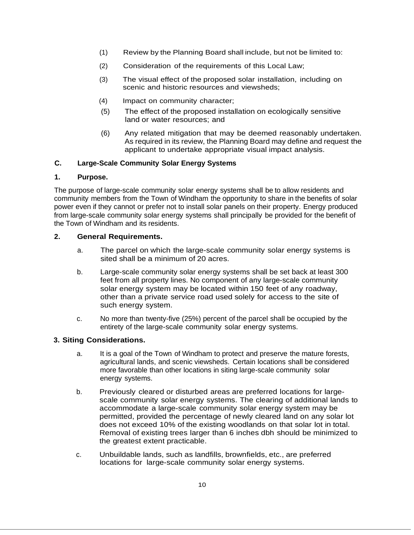- (1) Review by the Planning Board shall include, but not be limited to:
- (2) Consideration of the requirements of this Local Law;
- (3) The visual effect of the proposed solar installation, including on scenic and historic resources and viewsheds;
- (4) Impact on community character;
- (5) The effect of the proposed installation on ecologically sensitive land or water resources; and
- (6) Any related mitigation that may be deemed reasonably undertaken. As required in its review, the Planning Board may define and request the applicant to undertake appropriate visual impact analysis.

## **C. Large-Scale Community Solar Energy Systems**

### **1. Purpose.**

The purpose of large-scale community solar energy systems shall be to allow residents and community members from the Town of Windham the opportunity to share in the benefits of solar power even if they cannot or prefer not to install solar panels on their property. Energy produced from large-scale community solar energy systems shall principally be provided for the benefit of the Town of Windham and its residents.

## **2. General Requirements.**

- a. The parcel on which the large-scale community solar energy systems is sited shall be a minimum of 20 acres.
- b. Large-scale community solar energy systems shall be set back at least 300 feet from all property lines. No component of any large-scale community solar energy system may be located within 150 feet of any roadway, other than a private service road used solely for access to the site of such energy system.
- c. No more than twenty-five (25%) percent of the parcel shall be occupied by the entirety of the large-scale community solar energy systems.

# **3. Siting Considerations.**

- a. It is a goal of the Town of Windham to protect and preserve the mature forests, agricultural lands, and scenic viewsheds. Certain locations shall be considered more favorable than other locations in siting large-scale community solar energy systems.
- b. Previously cleared or disturbed areas are preferred locations for largescale community solar energy systems. The clearing of additional lands to accommodate a large-scale community solar energy system may be permitted, provided the percentage of newly cleared land on any solar lot does not exceed 10% of the existing woodlands on that solar lot in total. Removal of existing trees larger than 6 inches dbh should be minimized to the greatest extent practicable.
- c. Unbuildable lands, such as landfills, brownfields, etc., are preferred locations for large-scale community solar energy systems.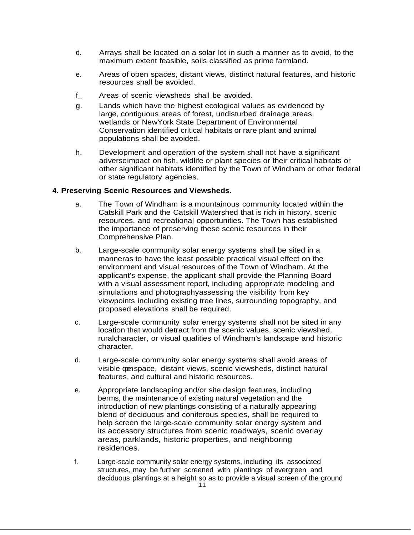- d. Arrays shall be located on a solar lot in such a manner as to avoid, to the maximum extent feasible, soils classified as prime farmland.
- e. Areas of open spaces, distant views, distinct natural features, and historic resources shall be avoided.
- f\_ Areas of scenic viewsheds shall be avoided.
- g. Lands which have the highest ecological values as evidenced by large, contiguous areas of forest, undisturbed drainage areas, wetlands or NewYork State Department of Environmental Conservation identified critical habitats or rare plant and animal populations shall be avoided.
- h. Development and operation of the system shall not have a significant adverseimpact on fish, wildlife or plant species or their critical habitats or other significant habitats identified by the Town of Windham or other federal or state regulatory agencies.

### **4. Preserving Scenic Resources and Viewsheds.**

- a. The Town of Windham is a mountainous community located within the Catskill Park and the Catskill Watershed that is rich in history, scenic resources, and recreational opportunities. The Town has established the importance of preserving these scenic resources in their Comprehensive Plan.
- b. Large-scale community solar energy systems shall be sited in a manneras to have the least possible practical visual effect on the environment and visual resources of the Town of Windham. At the applicant's expense, the applicant shall provide the Planning Board with a visual assessment report, including appropriate modeling and simulations and photographyassessing the visibility from key viewpoints including existing tree lines, surrounding topography, and proposed elevations shall be required.
- c. Large-scale community solar energy systems shall not be sited in any location that would detract from the scenic values, scenic viewshed, ruralcharacter, or visual qualities of Windham's landscape and historic character.
- d. Large-scale community solar energy systems shall avoid areas of visible openspace, distant views, scenic viewsheds, distinct natural features, and cultural and historic resources.
- e. Appropriate landscaping and/or site design features, including berms, the maintenance of existing natural vegetation and the introduction of new plantings consisting of a naturally appearing blend of deciduous and coniferous species, shall be required to help screen the large-scale community solar energy system and its accessory structures from scenic roadways, scenic overlay areas, parklands, historic properties, and neighboring residences.
- f. Large-scale community solar energy systems, including its associated structures, may be further screened with plantings of evergreen and deciduous plantings at a height so as to provide a visual screen of the ground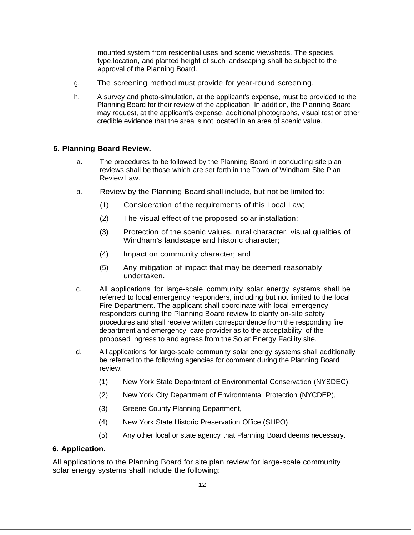mounted system from residential uses and scenic viewsheds. The species, type,location, and planted height of such landscaping shall be subject to the approval of the Planning Board.

- g. The screening method must provide for year-round screening.
- h. A survey and photo-simulation, at the applicant's expense, must be provided to the Planning Board for their review of the application. In addition, the Planning Board may request, at the applicant's expense, additional photographs, visual test or other credible evidence that the area is not located in an area of scenic value.

# **5. Planning Board Review.**

- a. The procedures to be followed by the Planning Board in conducting site plan reviews shall be those which are set forth in the Town of Windham Site Plan Review Law.
- b. Review by the Planning Board shall include, but not be limited to:
	- (1) Consideration of the requirements of this Local Law;
	- (2) The visual effect of the proposed solar installation;
	- (3) Protection of the scenic values, rural character, visual qualities of Windham's landscape and historic character;
	- (4) Impact on community character; and
	- (5) Any mitigation of impact that may be deemed reasonably undertaken.
- c. All applications for large-scale community solar energy systems shall be referred to local emergency responders, including but not limited to the local Fire Department. The applicant shall coordinate with local emergency responders during the Planning Board review to clarify on-site safety procedures and shall receive written correspondence from the responding fire department and emergency care provider as to the acceptability of the proposed ingress to and egress from the Solar Energy Facility site.
- d. All applications for large-scale community solar energy systems shall additionally be referred to the following agencies for comment during the Planning Board review:
	- (1) New York State Department of Environmental Conservation (NYSDEC);
	- (2) New York City Department of Environmental Protection (NYCDEP),
	- (3) Greene County Planning Department,
	- (4) New York State Historic Preservation Office (SHPO)
	- (5) Any other local or state agency that Planning Board deems necessary.

## **6. Application.**

All applications to the Planning Board for site plan review for large-scale community solar energy systems shall include the following: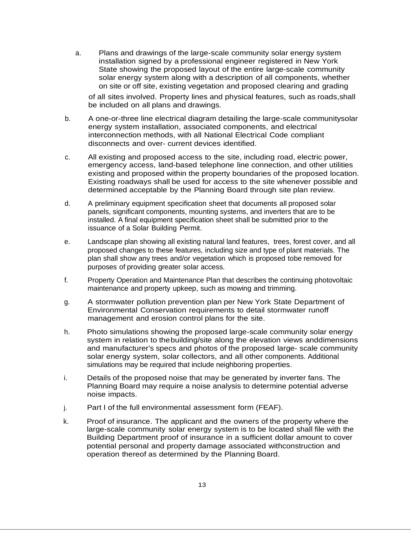a. Plans and drawings of the large-scale community solar energy system installation signed by a professional engineer registered in New York State showing the proposed layout of the entire large-scale community solar energy system along with a description of all components, whether on site or off site, existing vegetation and proposed clearing and grading

of all sites involved. Property lines and physical features, such as roads,shall be included on all plans and drawings.

- b. A one-or-three line electrical diagram detailing the large-scale communitysolar energy system installation, associated components, and electrical interconnection methods, with all National Electrical Code compliant disconnects and over- current devices identified.
- c. All existing and proposed access to the site, including road, electric power, emergency access, land-based telephone line connection, and other utilities existing and proposed within the property boundaries of the proposed location. Existing roadways shall be used for access to the site whenever possible and determined acceptable by the Planning Board through site plan review.
- d. A preliminary equipment specification sheet that documents all proposed solar panels, significant components, mounting systems, and inverters that are to be installed. A final equipment specification sheet shall be submitted prior to the issuance of a Solar Building Permit.
- e. Landscape plan showing all existing natural land features, trees, forest cover, and all proposed changes to these features, including size and type of plant materials. The plan shall show any trees and/or vegetation which is proposed tobe removed for purposes of providing greater solar access.
- f. Property Operation and Maintenance Plan that describes the continuing photovoltaic maintenance and property upkeep, such as mowing and trimming.
- g. A stormwater pollution prevention plan per New York State Department of Environmental Conservation requirements to detail stormwater runoff management and erosion control plans for the site.
- h. Photo simulations showing the proposed large-scale community solar energy system in relation to thebuilding/site along the elevation views anddimensions and manufacturer's specs and photos of the proposed large- scale community solar energy system, solar collectors, and all other components. Additional simulations may be required that include neighboring properties.
- i. Details of the proposed noise that may be generated by inverter fans. The Planning Board may require a noise analysis to determine potential adverse noise impacts.
- j. Part I of the full environmental assessment form (FEAF).
- k. Proof of insurance. The applicant and the owners of the property where the large-scale community solar energy system is to be located shall file with the Building Department proof of insurance in a sufficient dollar amount to cover potential personal and property damage associated withconstruction and operation thereof as determined by the Planning Board.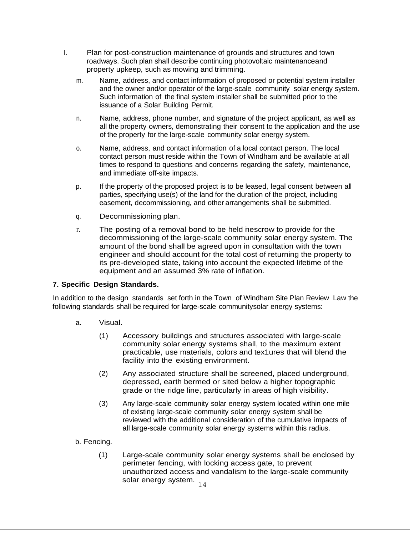- I. Plan for post-construction maintenance of grounds and structures and town roadways. Such plan shall describe continuing photovoltaic maintenanceand property upkeep, such as mowing and trimming.
	- m. Name, address, and contact information of proposed or potential system installer and the owner and/or operator of the large-scale community solar energy system. Such information of the final system installer shall be submitted prior to the issuance of a Solar Building Permit.
	- n. Name, address, phone number, and signature of the project applicant, as well as all the property owners, demonstrating their consent to the application and the use of the property for the large-scale community solar energy system.
	- o. Name, address, and contact information of a local contact person. The local contact person must reside within the Town of Windham and be available at all times to respond to questions and concerns regarding the safety, maintenance, and immediate off-site impacts.
	- p. If the property of the proposed project is to be leased, legal consent between all parties, specifying use(s) of the land for the duration of the project, including easement, decommissioning, and other arrangements shall be submitted.
	- q. Decommissioning plan.
	- r. The posting of a removal bond to be held inescrow to provide for the decommissioning of the large-scale community solar energy system. The amount of the bond shall be agreed upon in consultation with the town engineer and should account for the total cost of returning the property to its pre-developed state, taking into account the expected lifetime of the equipment and an assumed 3% rate of inflation.

# **7. Specific Design Standards.**

In addition to the design standards set forth in the Town of Windham Site Plan Review Law the following standards shall be required for large-scale communitysolar energy systems:

- a. Visual.
	- (1) Accessory buildings and structures associated with large-scale community solar energy systems shall, to the maximum extent practicable, use materials, colors and tex1ures that will blend the facility into the existing environment.
	- (2) Any associated structure shall be screened, placed underground, depressed, earth bermed or sited below a higher topographic grade or the ridge line, particularly in areas of high visibility.
	- (3) Any large-scale community solar energy system located within one mile of existing large-scale community solar energy system shall be reviewed with the additional consideration of the cumulative impacts of all large-scale community solar energy systems within this radius.
- b. Fencing.
	- solar energy system.  $_{14}$ (1) Large-scale community solar energy systems shall be enclosed by perimeter fencing, with locking access gate, to prevent unauthorized access and vandalism to the large-scale community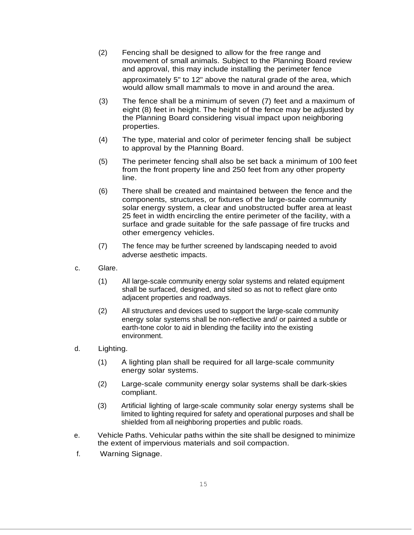- (2) Fencing shall be designed to allow for the free range and movement of small animals. Subject to the Planning Board review and approval, this may include installing the perimeter fence approximately 5" to 12" above the natural grade of the area, which would allow small mammals to move in and around the area.
- (3) The fence shall be a minimum of seven (7) feet and a maximum of eight (8) feet in height. The height of the fence may be adjusted by the Planning Board considering visual impact upon neighboring properties.
- (4) The type, material and color of perimeter fencing shall be subject to approval by the Planning Board.
- (5) The perimeter fencing shall also be set back a minimum of 100 feet from the front property line and 250 feet from any other property line.
- (6) There shall be created and maintained between the fence and the components, structures, or fixtures of the large-scale community solar energy system, a clear and unobstructed buffer area at least 25 feet in width encircling the entire perimeter of the facility, with a surface and grade suitable for the safe passage of fire trucks and other emergency vehicles.
- (7) The fence may be further screened by landscaping needed to avoid adverse aesthetic impacts.
- c. Glare.
	- (1) All large-scale community energy solar systems and related equipment shall be surfaced, designed, and sited so as not to reflect glare onto adjacent properties and roadways.
	- (2) All structures and devices used to support the large-scale community energy solar systems shall be non-reflective and/ or painted a subtle or earth-tone color to aid in blending the facility into the existing environment.
- d. Lighting.
	- (1) A lighting plan shall be required for all large-scale community energy solar systems.
	- (2) Large-scale community energy solar systems shall be dark-skies compliant.
	- (3) Artificial lighting of large-scale community solar energy systems shall be limited to lighting required for safety and operational purposes and shall be shielded from all neighboring properties and public roads.
- e. Vehicle Paths. Vehicular paths within the site shall be designed to minimize the extent of impervious materials and soil compaction.
- f. Warning Signage.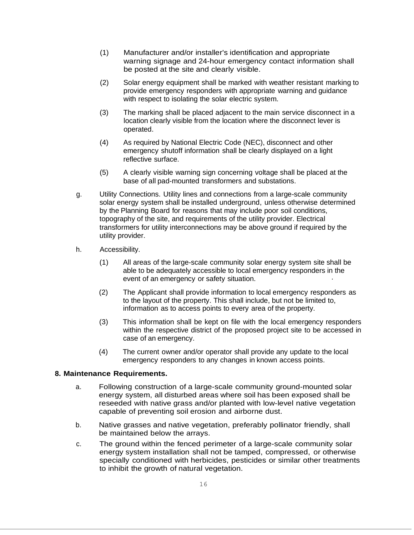- (1) Manufacturer and/or installer's identification and appropriate warning signage and 24-hour emergency contact information shall be posted at the site and clearly visible.
- (2) Solar energy equipment shall be marked with weather resistant marking to provide emergency responders with appropriate warning and guidance with respect to isolating the solar electric system.
- (3) The marking shall be placed adjacent to the main service disconnect in a location clearly visible from the location where the disconnect lever is operated.
- (4) As required by National Electric Code (NEC), disconnect and other emergency shutoff information shall be clearly displayed on a light reflective surface.
- (5) A clearly visible warning sign concerning voltage shall be placed at the base of all pad-mounted transformers and substations.
- g. Utility Connections. Utility lines and connections from a large-scale community solar energy system shall be installed underground, unless otherwise determined by the Planning Board for reasons that may include poor soil conditions, topography of the site, and requirements of the utility provider. Electrical transformers for utility interconnections may be above ground if required by the utility provider.
- h. Accessibility.
	- (1) All areas of the large-scale community solar energy system site shall be able to be adequately accessible to local emergency responders in the event of an emergency or safety situation.
	- (2) The Applicant shall provide information to local emergency responders as to the layout of the property. This shall include, but not be limited to, information as to access points to every area of the property.
	- (3) This information shall be kept on file with the local emergency responders within the respective district of the proposed project site to be accessed in case of an emergency.
	- (4) The current owner and/or operator shall provide any update to the local emergency responders to any changes in known access points.

# **8. Maintenance Requirements.**

- a. Following construction of a large-scale community ground-mounted solar energy system, all disturbed areas where soil has been exposed shall be reseeded with native grass and/or planted with low-level native vegetation capable of preventing soil erosion and airborne dust.
- b. Native grasses and native vegetation, preferably pollinator friendly, shall be maintained below the arrays.
- c. The ground within the fenced perimeter of a large-scale community solar energy system installation shall not be tamped, compressed, or otherwise specially conditioned with herbicides, pesticides or similar other treatments to inhibit the growth of natural vegetation.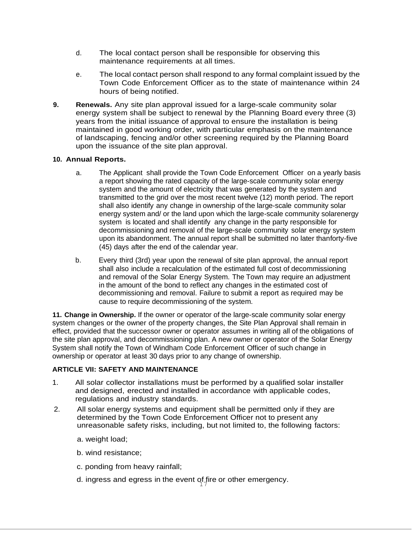- d. The local contact person shall be responsible for observing this maintenance requirements at all times.
- e. The local contact person shall respond to any formal complaint issued by the Town Code Enforcement Officer as to the state of maintenance within 24 hours of being notified.
- **9. Renewals.** Any site plan approval issued for a large-scale community solar energy system shall be subject to renewal by the Planning Board every three (3) years from the initial issuance of approval to ensure the installation is being maintained in good working order, with particular emphasis on the maintenance of landscaping, fencing and/or other screening required by the Planning Board upon the issuance of the site plan approval.

# **10. Annual Reports.**

- a. The Applicant shall provide the Town Code Enforcement Officer on a yearly basis a report showing the rated capacity of the large-scale community solar energy system and the amount of electricity that was generated by the system and transmitted to the grid over the most recent twelve (12) month period. The report shall also identify any change in ownership of the large-scale community solar energy system and/ or the land upon which the large-scale community solarenergy system is located and shall identify any change in the party responsible for decommissioning and removal of the large-scale community solar energy system upon its abandonment. The annual report shall be submitted no later thanforty-five (45) days after the end of the calendar year.
- b. Every third (3rd) year upon the renewal of site plan approval, the annual report shall also include a recalculation of the estimated full cost of decommissioning and removal of the Solar Energy System. The Town may require an adjustment in the amount of the bond to reflect any changes in the estimated cost of decommissioning and removal. Failure to submit a report as required may be cause to require decommissioning of the system.

**11. Change in Ownership.** If the owner or operator of the large-scale community solar energy system changes or the owner of the property changes, the Site Plan Approval shall remain in effect, provided that the successor owner or operator assumes in writing all of the obligations of the site plan approval, and decommissioning plan. A new owner or operator of the Solar Energy System shall notify the Town of Windham Code Enforcement Officer of such change in ownership or operator at least 30 days prior to any change of ownership.

# **ARTICLE VII: SAFETY AND MAINTENANCE**

- 1. All solar collector installations must be performed by a qualified solar installer and designed, erected and installed in accordance with applicable codes, regulations and industry standards.
- 2. All solar energy systems and equipment shall be permitted only if they are determined by the Town Code Enforcement Officer not to present any unreasonable safety risks, including, but not limited to, the following factors:
	- a. weight load;
	- b. wind resistance;
	- c. ponding from heavy rainfall;
	- d. ingress and egress in the event of fire or other emergency.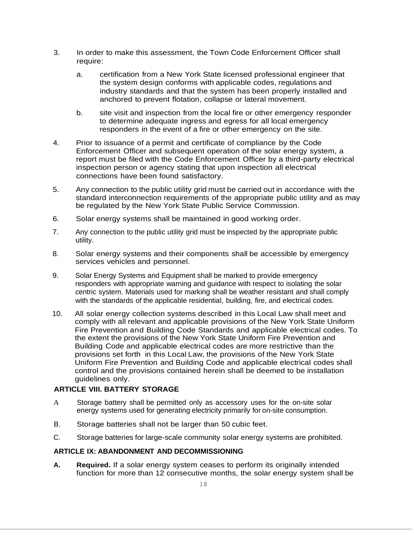- 3. In order to make this assessment, the Town Code Enforcement Officer shall require:
	- a. certification from a New York State licensed professional engineer that the system design conforms with applicable codes, regulations and industry standards and that the system has been properly installed and anchored to prevent flotation, collapse or lateral movement.
	- b. site visit and inspection from the local fire or other emergency responder to determine adequate ingress and egress for all local emergency responders in the event of a fire or other emergency on the site.
- 4. Prior to issuance of a permit and certificate of compliance by the Code Enforcement Officer and subsequent operation of the solar energy system, a report must be filed with the Code Enforcement Officer by a third-party electrical inspection person or agency stating that upon inspection all electrical connections have been found satisfactory.
- 5. Any connection to the public utility grid must be carried out in accordance with the standard interconnection requirements of the appropriate public utility and as may be regulated by the New York State Public Service Commission.
- 6. Solar energy systems shall be maintained in good working order.
- 7. Any connection to the public utility grid must be inspected by the appropriate public utility.
- 8. Solar energy systems and their components shall be accessible by emergency services vehicles and personnel.
- 9. Solar Energy Systems and Equipment shall be marked to provide emergency responders with appropriate warning and guidance with respect to isolating the solar centric system. Materials used for marking shall be weather resistant and shall comply with the standards of the applicable residential, building, fire, and electrical codes.
- 10. All solar energy collection systems described in this Local Law shall meet and comply with all relevant and applicable provisions of the New York State Uniform Fire Prevention and Building Code Standards and applicable electrical codes. To the extent the provisions of the New York State Uniform Fire Prevention and Building Code and applicable electrical codes are more restrictive than the provisions set forth in this Local Law, the provisions of the New York State Uniform Fire Prevention and Building Code and applicable electrical codes shall control and the provisions contained herein shall be deemed to be installation guidelines only.

## **ARTICLE VIII. BATTERY STORAGE**

- A Storage battery shall be permitted only as accessory uses for the on-site solar energy systems used for generating electricity primarily for on-site consumption.
- B. Storage batteries shall not be larger than 50 cubic feet.
- C. Storage batteries for large-scale community solar energy systems are prohibited.

## **ARTICLE IX: ABANDONMENT AND DECOMMISSIONING**

**A. Required.** If a solar energy system ceases to perform its originally intended function for more than 12 consecutive months, the solar energy system shall be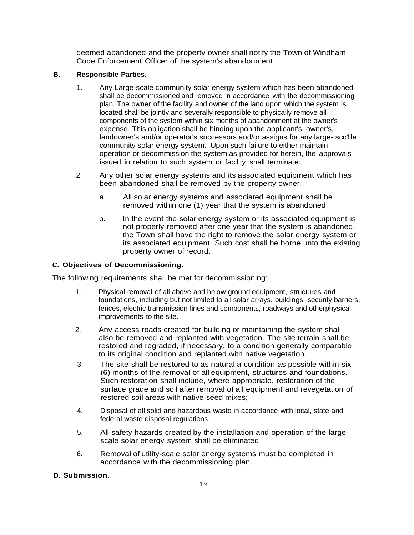deemed abandoned and the property owner shall notify the Town of Windham Code Enforcement Officer of the system's abandonment.

## **B. Responsible Parties.**

- 1. Any Large-scale community solar energy system which has been abandoned shall be decommissioned and removed in accordance with the decommissioning plan. The owner of the facility and owner of the land upon which the system is located shall be jointly and severally responsible to physically remove all components of the system within six months of abandonment at the owner's expense. This obligation shall be binding upon the applicant's, owner's, landowner's and/or operator's successors and/or assigns for any large- scc1le community solar energy system. Upon such failure to either maintain operation or decommission the system as provided for herein, the approvals issued in relation to such system or facility shall terminate.
- 2. Any other solar energy systems and its associated equipment which has been abandoned shall be removed by the property owner.
	- a. All solar energy systems and associated equipment shall be removed within one (1) year that the system is abandoned.
	- b. In the event the solar energy system or its associated equipment is not properly removed after one year that the system is abandoned, the Town shall have the right to remove the solar energy system or its associated equipment. Such cost shall be borne unto the existing property owner of record.

# **C. Objectives of Decommissioning.**

The following requirements shall be met for decommissioning:

- 1. Physical removal of all above and below ground equipment, structures and foundations, including but not limited to all solar arrays, buildings, security barriers, fences, electric transmission lines and components, roadways and otherphysical improvements to the site.
- 2. Any access roads created for building or maintaining the system shall also be removed and replanted with vegetation. The site terrain shall be restored and regraded, if necessary, to a condition generally comparable to its original condition and replanted with native vegetation.
- 3. The site shall be restored to as natural a condition as possible within six (6) months of the removal of all equipment, structures and foundations. Such restoration shall include, where appropriate, restoration of the surface grade and soil after removal of all equipment and revegetation of restored soil areas with native seed mixes;
- 4. Disposal of all solid and hazardous waste in accordance with local, state and federal waste disposal regulations.
- 5. All safety hazards created by the installation and operation of the largescale solar energy system shall be eliminated
- 6. Removal of utility-scale solar energy systems must be completed in accordance with the decommissioning plan.

# **D. Submission.**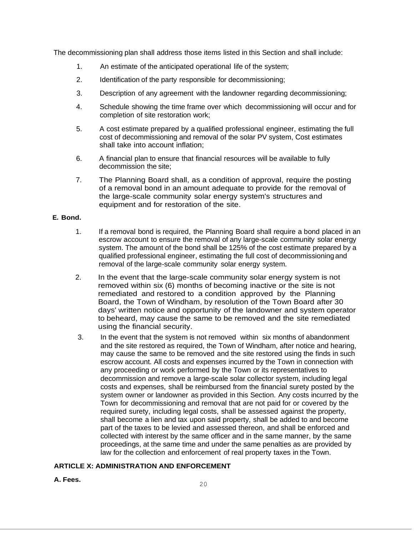The decommissioning plan shall address those items listed in this Section and shall include:

- 1. An estimate of the anticipated operational life of the system;
- 2. Identification of the party responsible for decommissioning;
- 3. Description of any agreement with the landowner regarding decommissioning;
- 4. Schedule showing the time frame over which decommissioning will occur and for completion of site restoration work;
- 5. A cost estimate prepared by a qualified professional engineer, estimating the full cost of decommissioning and removal of the solar PV system, Cost estimates shall take into account inflation;
- 6. A financial plan to ensure that financial resources will be available to fully decommission the site;
- 7. The Planning Board shall, as a condition of approval, require the posting of a removal bond in an amount adequate to provide for the removal of the large-scale community solar energy system's structures and equipment and for restoration of the site.

### **E. Bond.**

- 1. If a removal bond is required, the Planning Board shall require a bond placed in an escrow account to ensure the removal of any large-scale community solar energy system. The amount of the bond shall be 125% of the cost estimate prepared by a qualified professional engineer, estimating the full cost of decommissioningand removal of the large-scale community solar energy system.
- 2. In the event that the large-scale community solar energy system is not removed within six (6) months of becoming inactive or the site is not remediated and restored to a condition approved by the Planning Board, the Town of Windham, by resolution of the Town Board after 30 days' written notice and opportunity of the landowner and system operator to beheard, may cause the same to be removed and the site remediated using the financial security.
- 3. In the event that the system is not removed within six months of abandonment and the site restored as required, the Town of Windham, after notice and hearing, may cause the same to be removed and the site restored using the finds in such escrow account. All costs and expenses incurred by the Town in connection with any proceeding or work performed by the Town or its representatives to decommission and remove a large-scale solar collector system, including legal costs and expenses, shall be reimbursed from the financial surety posted by the system owner or landowner as provided in this Section. Any costs incurred by the Town for decommissioning and removal that are not paid for or covered by the required surety, including legal costs, shall be assessed against the property, shall become a lien and tax upon said property, shall be added to and become part of the taxes to be levied and assessed thereon, and shall be enforced and collected with interest by the same officer and in the same manner, by the same proceedings, at the same time and under the same penalties as are provided by law for the collection and enforcement of real property taxes in the Town.

# **ARTICLE X: ADMINISTRATION AND ENFORCEMENT**

## **A. Fees.**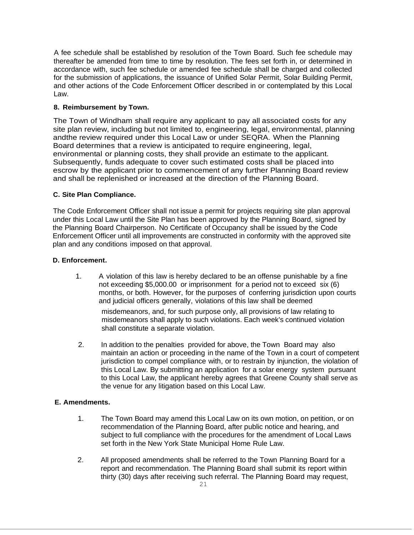A fee schedule shall be established by resolution of the Town Board. Such fee schedule may thereafter be amended from time to time by resolution. The fees set forth in, or determined in accordance with, such fee schedule or amended fee schedule shall be charged and collected for the submission of applications, the issuance of Unified Solar Permit, Solar Building Permit, and other actions of the Code Enforcement Officer described in or contemplated by this Local Law.

# **8. Reimbursement by Town.**

The Town of Windham shall require any applicant to pay all associated costs for any site plan review, including but not limited to, engineering, legal, environmental, planning andthe review required under this Local Law or under SEQRA. When the Planning Board determines that a review is anticipated to require engineering, legal, environmental or planning costs, they shall provide an estimate to the applicant. Subsequently, funds adequate to cover such estimated costs shall be placed into escrow by the applicant prior to commencement of any further Planning Board review and shall be replenished or increased at the direction of the Planning Board.

## **C. Site Plan Compliance.**

The Code Enforcement Officer shall not issue a permit for projects requiring site plan approval under this Local Law until the Site Plan has been approved by the Planning Board, signed by the Planning Board Chairperson. No Certificate of Occupancy shall be issued by the Code Enforcement Officer until all improvements are constructed in conformity with the approved site plan and any conditions imposed on that approval.

## **D. Enforcement.**

1. A violation of this law is hereby declared to be an offense punishable by a fine not exceeding \$5,000.00 or imprisonment for a period not to exceed six (6) months, or both. However, for the purposes of conferring jurisdiction upon courts and judicial officers generally, violations of this law shall be deemed

misdemeanors, and, for such purpose only, all provisions of law relating to misdemeanors shall apply to such violations. Each week's continued violation shall constitute a separate violation.

2. In addition to the penalties provided for above, the Town Board may also maintain an action or proceeding in the name of the Town in a court of competent jurisdiction to compel compliance with, or to restrain by injunction, the violation of this Local Law. By submitting an application for a solar energy system pursuant to this Local Law, the applicant hereby agrees that Greene County shall serve as the venue for any litigation based on this Local Law.

# **E. Amendments.**

- 1. The Town Board may amend this Local Law on its own motion, on petition, or on recommendation of the Planning Board, after public notice and hearing, and subject to full compliance with the procedures for the amendment of Local Laws set forth in the New York State Municipal Home Rule Law.
- 2. All proposed amendments shall be referred to the Town Planning Board for a report and recommendation. The Planning Board shall submit its report within thirty (30) days after receiving such referral. The Planning Board may request,